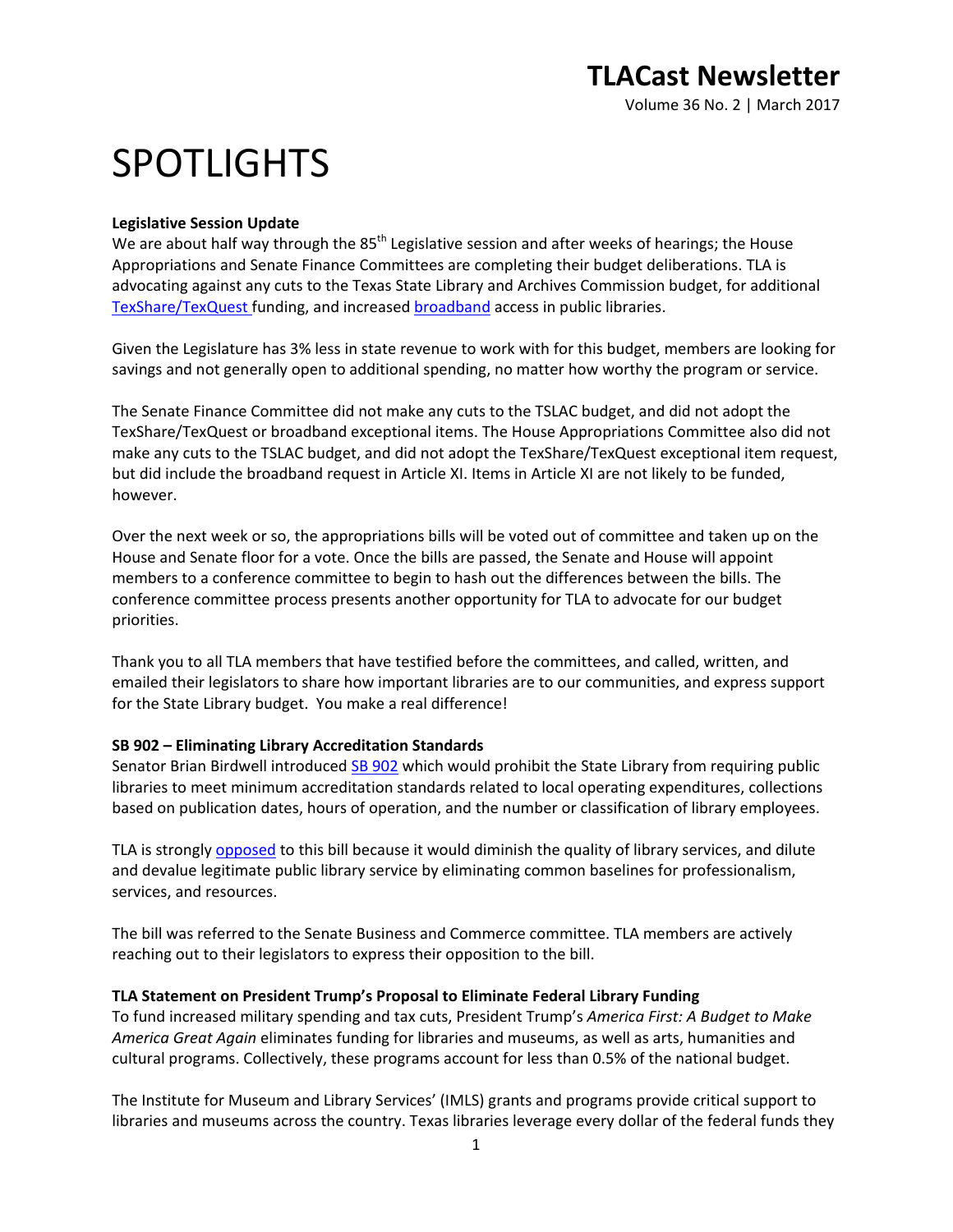Volume 36 No. 2 | March 2017

# SPOTLIGHTS

#### **Legislative Session Update**

We are about half way through the 85<sup>th</sup> Legislative session and after weeks of hearings; the House Appropriations and Senate Finance Committees are completing their budget deliberations. TLA is advocating against any cuts to the Texas State Library and Archives Commission budget, for additional [TexShare/TexQuest](http://www.txla.org/sites/tla/files/Advocate/TLA_exceptitem2-eresources.pdf) funding, and increased [broadband](http://www.txla.org/sites/tla/files/Advocate/TLA_excepitem5-broadband.pdf) access in public libraries.

Given the Legislature has 3% less in state revenue to work with for this budget, members are looking for savings and not generally open to additional spending, no matter how worthy the program or service.

The Senate Finance Committee did not make any cuts to the TSLAC budget, and did not adopt the TexShare/TexQuest or broadband exceptional items. The House Appropriations Committee also did not make any cuts to the TSLAC budget, and did not adopt the TexShare/TexQuest exceptional item request, but did include the broadband request in Article XI. Items in Article XI are not likely to be funded, however.

Over the next week or so, the appropriations bills will be voted out of committee and taken up on the House and Senate floor for a vote. Once the bills are passed, the Senate and House will appoint members to a conference committee to begin to hash out the differences between the bills. The conference committee process presents another opportunity for TLA to advocate for our budget priorities.

Thank you to all TLA members that have testified before the committees, and called, written, and emailed their legislators to share how important libraries are to our communities, and express support for the State Library budget. You make a real difference!

#### **SB 902 – Eliminating Library Accreditation Standards**

Senator Brian Birdwell introduced [SB 902](http://www.capitol.state.tx.us/tlodocs/85R/billtext/pdf/SB00902I.pdf#navpanes=0) which would prohibit the State Library from requiring public libraries to meet minimum accreditation standards related to local operating expenditures, collections based on publication dates, hours of operation, and the number or classification of library employees.

TLA is strongl[y opposed](http://www.txla.org/sites/tla/files/Advocate/85th-SB%20902-fact%20sheet.pdf) to this bill because it would diminish the quality of library services, and dilute and devalue legitimate public library service by eliminating common baselines for professionalism, services, and resources.

The bill was referred to the Senate Business and Commerce committee. TLA members are actively reaching out to their legislators to express their opposition to the bill.

#### **TLA Statement on President Trump's Proposal to Eliminate Federal Library Funding**

To fund increased military spending and tax cuts, President Trump's *America First: A Budget to Make America Great Again* eliminates funding for libraries and museums, as well as arts, humanities and cultural programs. Collectively, these programs account for less than 0.5% of the national budget.

The Institute for Museum and Library Services' (IMLS) grants and programs provide critical support to libraries and museums across the country. Texas libraries leverage every dollar of the federal funds they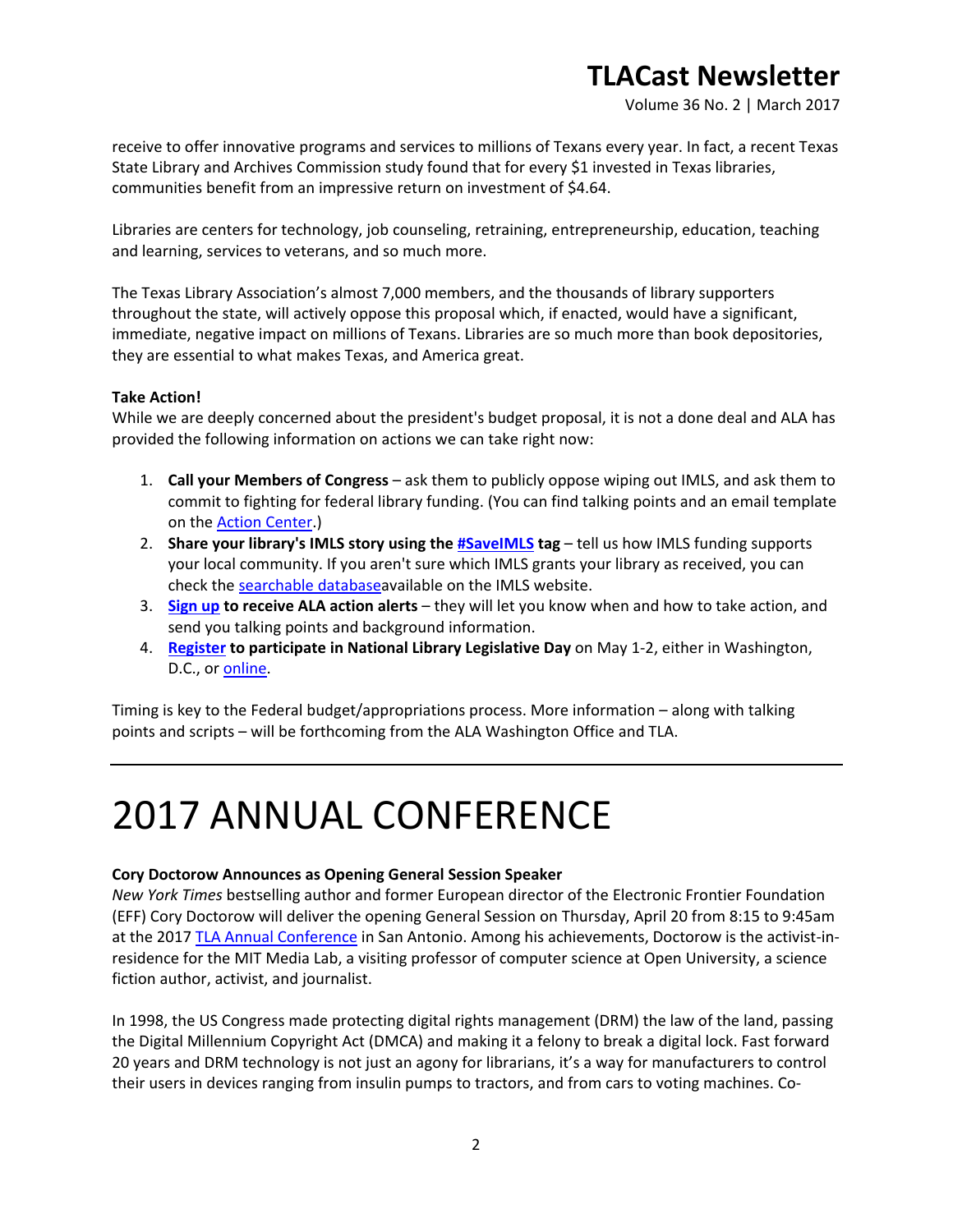Volume 36 No. 2 | March 2017

receive to offer innovative programs and services to millions of Texans every year. In fact, a recent Texas State Library and Archives Commission study found that for every \$1 invested in Texas libraries, communities benefit from an impressive return on investment of \$4.64.

Libraries are centers for technology, job counseling, retraining, entrepreneurship, education, teaching and learning, services to veterans, and so much more.

The Texas Library Association's almost 7,000 members, and the thousands of library supporters throughout the state, will actively oppose this proposal which, if enacted, would have a significant, immediate, negative impact on millions of Texans. Libraries are so much more than book depositories, they are essential to what makes Texas, and America great.

#### **Take Action!**

While we are deeply concerned about the president's budget proposal, it is not a done deal and ALA has provided the following information on actions we can take right now:

- 1. **Call your Members of Congress** ask them to publicly oppose wiping out IMLS, and ask them to commit to fighting for federal library funding. (You can find talking points and an email template on the [Action Center.](http://cqrcengage.com/ala/home))
- 2. **Share your library's IMLS story using the [#SaveIMLS](https://twitter.com/search?f=tweets&vertical=default&q=%23SaveIMLS&src=typd) tag** tell us how IMLS funding supports your local community. If you aren't sure which IMLS grants your library as received, you can check the [searchable databasea](https://www.imls.gov/grants/awarded-grants)vailable on the IMLS website.
- 3. **[Sign up](http://t.umblr.com/redirect?z=http%3A%2F%2Fcqrcengage.com%2Fala%2Fhome&t=ODUxYjIxYTU0NjIyZDhjYjVkMGFhODg1ZGQ2ZWQ2Mjk2MzEyZGMxNyxKdHM0UUlhMA%3D%3D&b=t%3ARo4er3KCf8GLcjYXtIA6Ug&p=http%3A%2F%2Flibraryadvocates.tumblr.com%2Fpost%2F158480880853%2Fpresidents-budget-proposal-to-eliminate-federal&m=0) to receive ALA action alerts** they will let you know when and how to take action, and send you talking points and background information.
- 4. **[Register](http://www.ala.org/advocacy/advleg/nlld) to participate in National Library Legislative Day** on May 1-2, either in Washington, D.C., or [online.](https://docs.google.com/forms/d/e/1FAIpQLSdpbfeNl1t6uM_gIfUqjS4uROV7VEt8JFlindnqt_Nbm1wSFw/viewform?c=0&w=1)

Timing is key to the Federal budget/appropriations process. More information – along with talking points and scripts – will be forthcoming from the ALA Washington Office and TLA.

# 2017 ANNUAL CONFERENCE

#### **Cory Doctorow Announces as Opening General Session Speaker**

*New York Times* bestselling author and former European director of the Electronic Frontier Foundation (EFF) Cory Doctorow will deliver the opening General Session on Thursday, April 20 from 8:15 to 9:45am at the 201[7 TLA Annual Conference](http://www.txla.org/annual-conference) in San Antonio. Among his achievements, Doctorow is the activist-inresidence for the MIT Media Lab, a visiting professor of computer science at Open University, a science fiction author, activist, and journalist.

In 1998, the US Congress made protecting digital rights management (DRM) the law of the land, passing the Digital Millennium Copyright Act (DMCA) and making it a felony to break a digital lock. Fast forward 20 years and DRM technology is not just an agony for librarians, it's a way for manufacturers to control their users in devices ranging from insulin pumps to tractors, and from cars to voting machines. Co-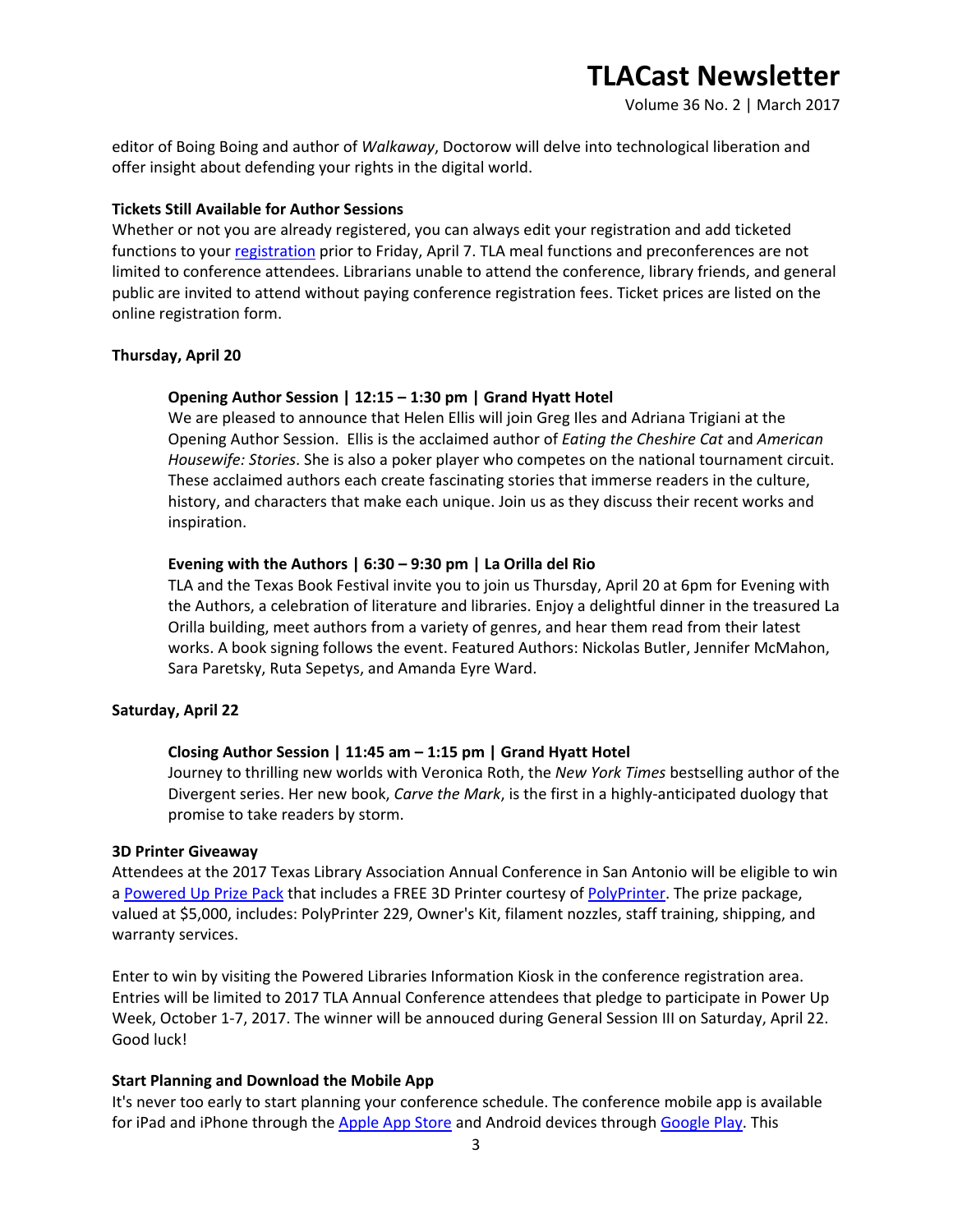Volume 36 No. 2 | March 2017

editor of Boing Boing and author of *Walkaway*, Doctorow will delve into technological liberation and offer insight about defending your rights in the digital world.

#### **Tickets Still Available for Author Sessions**

Whether or not you are already registered, you can always edit your registration and add ticketed functions to your [registration](https://secure.txla.org/secure/forms/mtgLogin.asp) prior to Friday, April 7. TLA meal functions and preconferences are not limited to conference attendees. Librarians unable to attend the conference, library friends, and general public are invited to attend without paying conference registration fees. Ticket prices are listed on the online registration form.

#### **Thursday, April 20**

#### **Opening Author Session | 12:15 – 1:30 pm | Grand Hyatt Hotel**

We are pleased to announce that Helen Ellis will join Greg Iles and Adriana Trigiani at the Opening Author Session. Ellis is the acclaimed author of *Eating the Cheshire Cat* and *American Housewife: Stories*. She is also a poker player who competes on the national tournament circuit. These acclaimed authors each create fascinating stories that immerse readers in the culture, history, and characters that make each unique. Join us as they discuss their recent works and inspiration.

#### **Evening with the Authors | 6:30 – 9:30 pm | La Orilla del Rio**

TLA and the Texas Book Festival invite you to join us Thursday, April 20 at 6pm for Evening with the Authors, a celebration of literature and libraries. Enjoy a delightful dinner in the treasured La Orilla building, meet authors from a variety of genres, and hear them read from their latest works. A book signing follows the event. Featured Authors: Nickolas Butler, Jennifer McMahon, Sara Paretsky, Ruta Sepetys, and Amanda Eyre Ward.

#### **Saturday, April 22**

#### **Closing Author Session | 11:45 am – 1:15 pm | Grand Hyatt Hotel**

Journey to thrilling new worlds with Veronica Roth, the *New York Times* bestselling author of the Divergent series. Her new book, *Carve the Mark*, is the first in a highly-anticipated duology that promise to take readers by storm.

#### **3D Printer Giveaway**

Attendees at the 2017 Texas Library Association Annual Conference in San Antonio will be eligible to win a [Powered Up Prize Pack](http://www.txla.org/news/2017/03/win-a-3d-printer-for-your-library) that includes a FREE 3D Printer courtesy of [PolyPrinter.](http://www.polyprinter.com/) The prize package, valued at \$5,000, includes: PolyPrinter 229, Owner's Kit, filament nozzles, staff training, shipping, and warranty services.

Enter to win by visiting the Powered Libraries Information Kiosk in the conference registration area. Entries will be limited to 2017 TLA Annual Conference attendees that pledge to participate in Power Up Week, October 1-7, 2017. The winner will be annouced during General Session III on Saturday, April 22. Good luck!

#### **Start Planning and Download the Mobile App**

It's never too early to start planning your conference schedule. The conference mobile app is available for iPad and iPhone through the [Apple App Store](https://itunes.apple.com/us/app/tla-2017/id1195628079?ls=1&mt=8) and Android devices through [Google Play.](https://play.google.com/store/apps/details?id=org.tla.gd.annualconf2017) This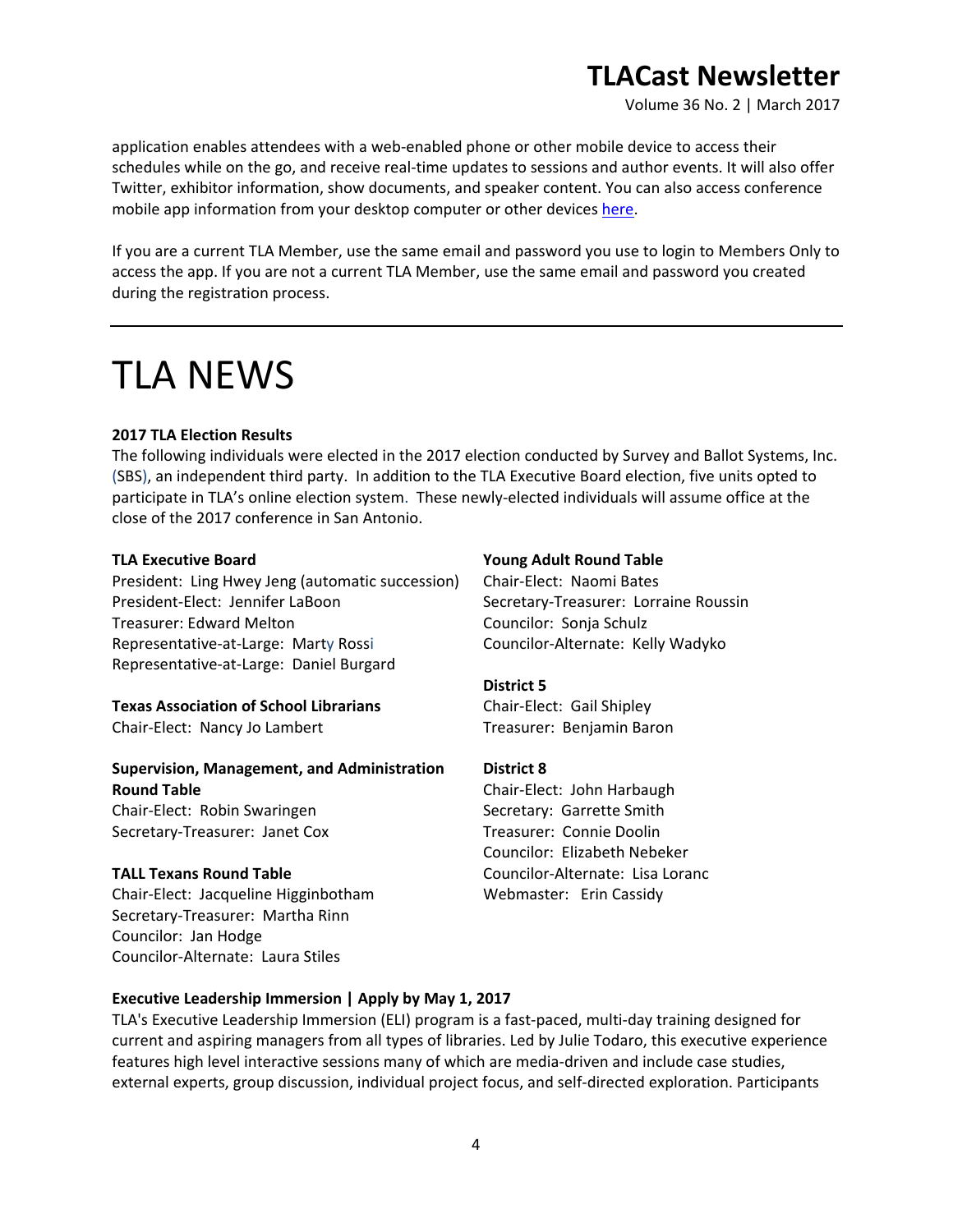Volume 36 No. 2 | March 2017

application enables attendees with a web-enabled phone or other mobile device to access their schedules while on the go, and receive real-time updates to sessions and author events. It will also offer Twitter, exhibitor information, show documents, and speaker content. You can also access conference mobile app information from your desktop computer or other devices [here.](https://tla2017.gatherdigital.com/apps/2512)

If you are a current TLA Member, use the same email and password you use to login to Members Only to access the app. If you are not a current TLA Member, use the same email and password you created during the registration process.

# TLA NEWS

#### **2017 TLA Election Results**

The following individuals were elected in the 2017 election conducted by Survey and Ballot Systems, Inc. (SBS), an independent third party. In addition to the TLA Executive Board election, five units opted to participate in TLA's online election system. These newly-elected individuals will assume office at the close of the 2017 conference in San Antonio.

#### **TLA Executive Board**

President: Ling Hwey Jeng (automatic succession) President-Elect: Jennifer LaBoon Treasurer: Edward Melton Representative-at-Large: Marty Rossi Representative-at-Large: Daniel Burgard

### **Texas Association of School Librarians**

Chair-Elect: Nancy Jo Lambert

#### **Supervision, Management, and Administration Round Table**

Chair-Elect: Robin Swaringen Secretary-Treasurer: Janet Cox

#### **TALL Texans Round Table**

Chair-Elect: Jacqueline Higginbotham Secretary-Treasurer: Martha Rinn Councilor: Jan Hodge Councilor-Alternate: Laura Stiles

#### **Young Adult Round Table**

Chair-Elect: Naomi Bates Secretary-Treasurer: Lorraine Roussin Councilor: Sonja Schulz Councilor-Alternate: Kelly Wadyko

#### **District 5**

Chair-Elect: Gail Shipley Treasurer: Benjamin Baron

#### **District 8**

Chair-Elect: John Harbaugh Secretary: Garrette Smith Treasurer: Connie Doolin Councilor: Elizabeth Nebeker Councilor-Alternate: Lisa Loranc Webmaster: Erin Cassidy

#### **Executive Leadership Immersion | Apply by May 1, 2017**

TLA's Executive Leadership Immersion (ELI) program is a fast-paced, multi-day training designed for current and aspiring managers from all types of libraries. Led by Julie Todaro, this executive experience features high level interactive sessions many of which are media-driven and include case studies, external experts, group discussion, individual project focus, and self-directed exploration. Participants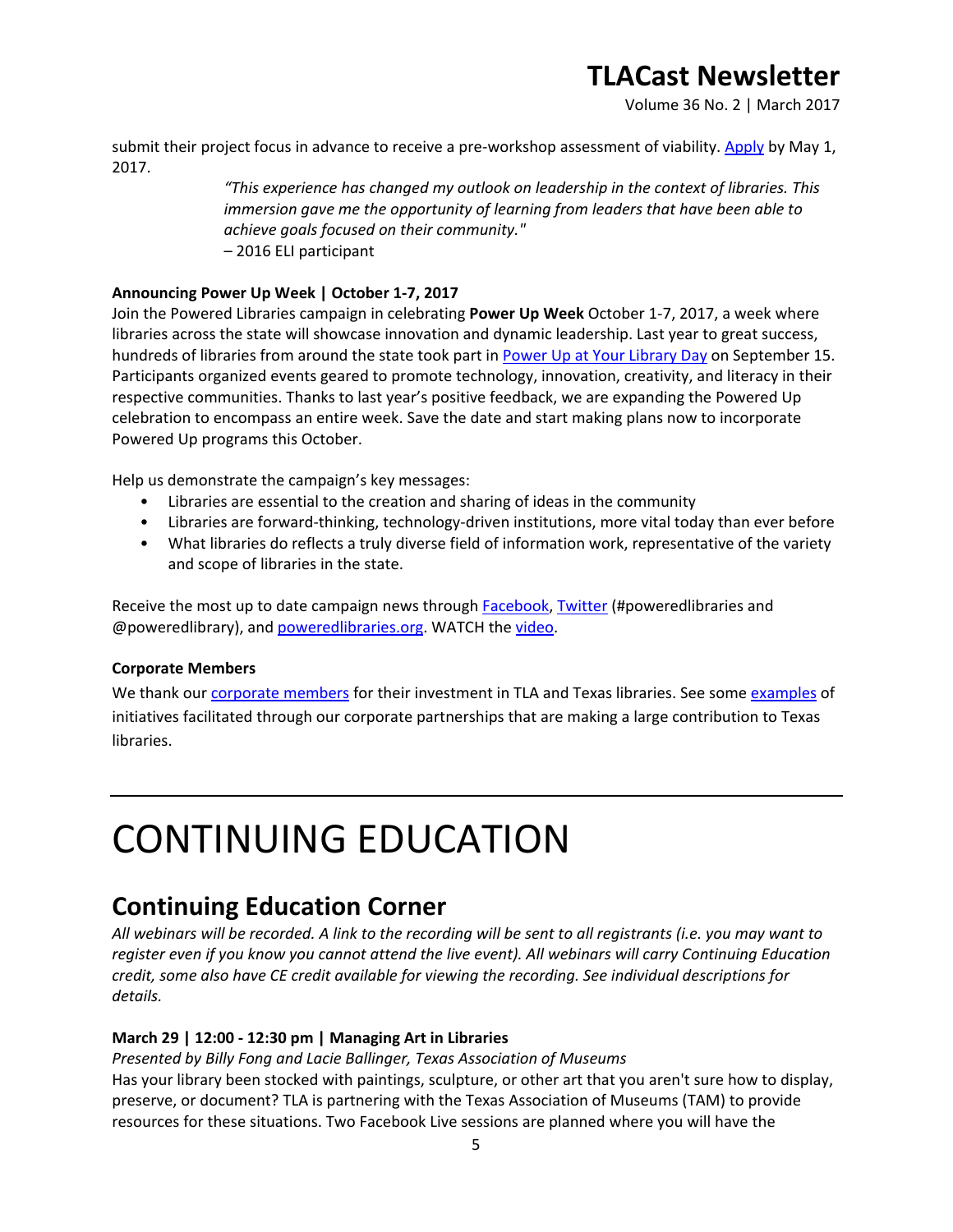Volume 36 No. 2 | March 2017

submit their project focus in advance to receive a pre-workshop assessment of viability. [Apply](http://www.txla.org/executive-leadership) by May 1, 2017.

> *"This experience has changed my outlook on leadership in the context of libraries. This immersion gave me the opportunity of learning from leaders that have been able to achieve goals focused on their community."* – 2016 ELI participant

#### **Announcing Power Up Week | October 1-7, 2017**

Join the Powered Libraries campaign in celebrating **Power Up Week** October 1-7, 2017, a week where libraries across the state will showcase innovation and dynamic leadership. Last year to great success, hundreds of libraries from around the state took part in [Power Up at Your Library Day](http://www.txla.org/news/2016/09/power-up-at-your-library-day) on September 15. Participants organized events geared to promote technology, innovation, creativity, and literacy in their respective communities. Thanks to last year's positive feedback, we are expanding the Powered Up celebration to encompass an entire week. Save the date and start making plans now to incorporate Powered Up programs this October.

Help us demonstrate the campaign's key messages:

- Libraries are essential to the creation and sharing of ideas in the community
- Libraries are forward-thinking, technology-driven institutions, more vital today than ever before
- What libraries do reflects a truly diverse field of information work, representative of the variety and scope of libraries in the state.

Receive the most up to date campaign news through [Facebook,](https://www.facebook.com/poweredlibraries/) [Twitter](https://twitter.com/poweredlibrary) (#poweredlibraries and @poweredlibrary), and [poweredlibraries.org.](http://www.poweredlibraries.org/) WATCH the [video.](https://www.youtube.com/watch?v=3-2fvR2e7sM)

#### **Corporate Members**

We thank our [corporate members](http://www.txla.org/cm) for their investment in TLA and Texas libraries. See some [examples](http://www.txla.org/public-relations-campaigns) of initiatives facilitated through our corporate partnerships that are making a large contribution to Texas libraries.

# CONTINUING EDUCATION

### **Continuing Education Corner**

*All webinars will be recorded. A link to the recording will be sent to all registrants (i.e. you may want to register even if you know you cannot attend the live event). All webinars will carry Continuing Education credit, some also have CE credit available for viewing the recording. See individual descriptions for details.*

#### **March 29 | 12:00 - 12:30 pm | Managing Art in Libraries**

*Presented by Billy Fong and Lacie Ballinger, Texas Association of Museums*

Has your library been stocked with paintings, sculpture, or other art that you aren't sure how to display, preserve, or document? TLA is partnering with the Texas Association of Museums (TAM) to provide resources for these situations. Two Facebook Live sessions are planned where you will have the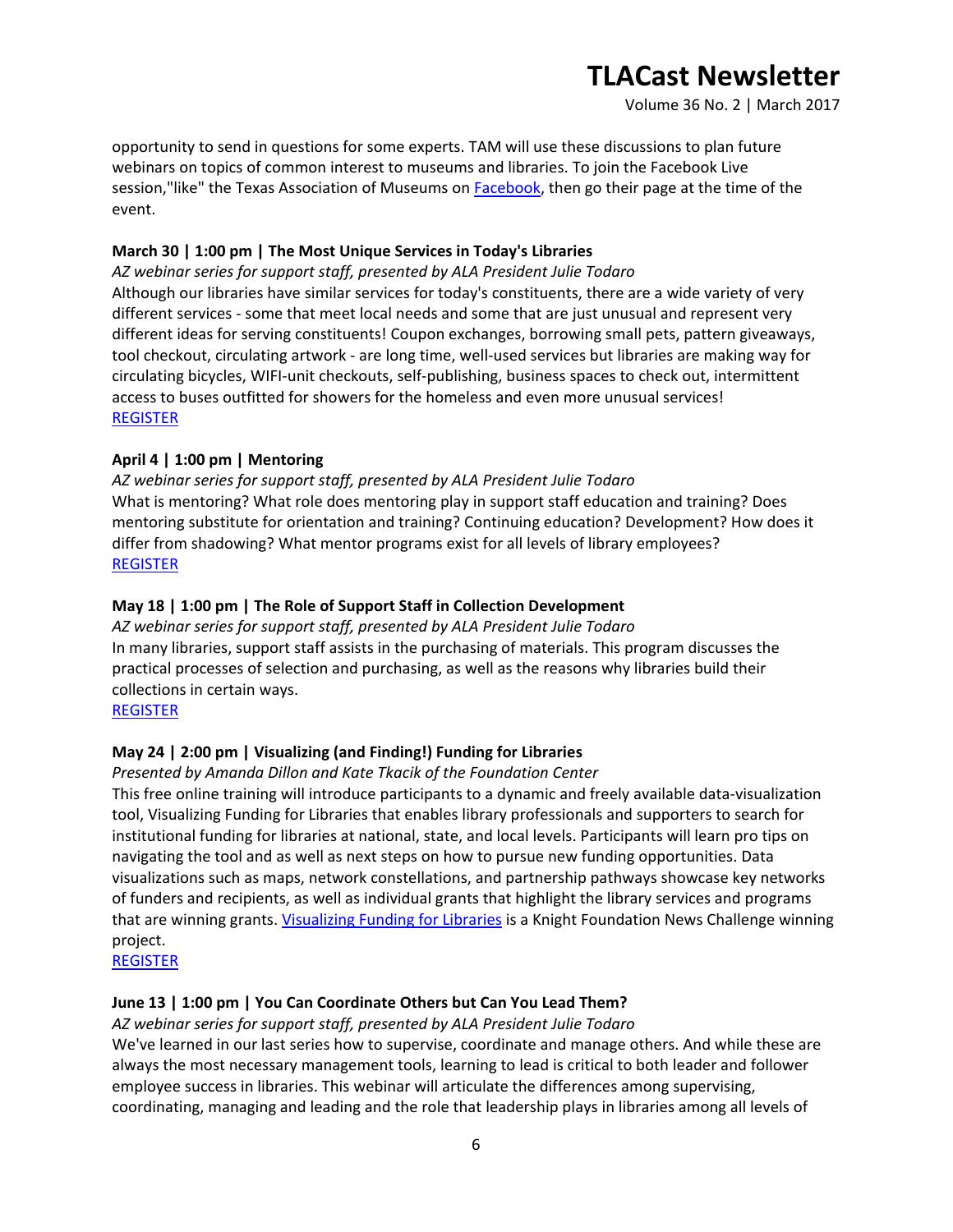Volume 36 No. 2 | March 2017

opportunity to send in questions for some experts. TAM will use these discussions to plan future webinars on topics of common interest to museums and libraries. To join the Facebook Live session,"like" the Texas Association of Museums on [Facebook,](https://www.facebook.com/TexasAssociationofMuseums/) then go their page at the time of the event.

#### **March 30 | 1:00 pm | The Most Unique Services in Today's Libraries**

*AZ webinar series for support staff, presented by ALA President Julie Todaro* Although our libraries have similar services for today's constituents, there are a wide variety of very different services - some that meet local needs and some that are just unusual and represent very different ideas for serving constituents! Coupon exchanges, borrowing small pets, pattern giveaways, tool checkout, circulating artwork - are long time, well-used services but libraries are making way for circulating bicycles, WIFI-unit checkouts, self-publishing, business spaces to check out, intermittent access to buses outfitted for showers for the homeless and even more unusual services! [REGISTER](https://secure.txla.org/secure/forms/mtgLogin.asp)

#### **April 4 | 1:00 pm | Mentoring**

*AZ webinar series for support staff, presented by ALA President Julie Todaro* What is mentoring? What role does mentoring play in support staff education and training? Does mentoring substitute for orientation and training? Continuing education? Development? How does it differ from shadowing? What mentor programs exist for all levels of library employees? [REGISTER](https://secure.txla.org/secure/forms/mtgLogin.asp)

#### **May 18 | 1:00 pm | The Role of Support Staff in Collection Development**

*AZ webinar series for support staff, presented by ALA President Julie Todaro* In many libraries, support staff assists in the purchasing of materials. This program discusses the practical processes of selection and purchasing, as well as the reasons why libraries build their collections in certain ways.

[REGISTER](https://secure.txla.org/secure/forms/mtgLogin.asp)

#### **May 24 | 2:00 pm | Visualizing (and Finding!) Funding for Libraries**

#### *Presented by Amanda Dillon and Kate Tkacik of the Foundation Center*

This free online training will introduce participants to a dynamic and freely available data-visualization tool, Visualizing Funding for Libraries that enables library professionals and supporters to search for institutional funding for libraries at national, state, and local levels. Participants will learn pro tips on navigating the tool and as well as next steps on how to pursue new funding opportunities. Data visualizations such as maps, network constellations, and partnership pathways showcase key networks of funders and recipients, as well as individual grants that highlight the library services and programs that are winning grants. *[Visualizing Funding for Libraries](http://libraries.foundationcenter.org/)* is a Knight Foundation News Challenge winning project.

[REGISTER](https://join.onstreammedia.com/register/80146595/visualfund)

#### **June 13 | 1:00 pm | You Can Coordinate Others but Can You Lead Them?**

*AZ webinar series for support staff, presented by ALA President Julie Todaro*

We've learned in our last series how to supervise, coordinate and manage others. And while these are always the most necessary management tools, learning to lead is critical to both leader and follower employee success in libraries. This webinar will articulate the differences among supervising, coordinating, managing and leading and the role that leadership plays in libraries among all levels of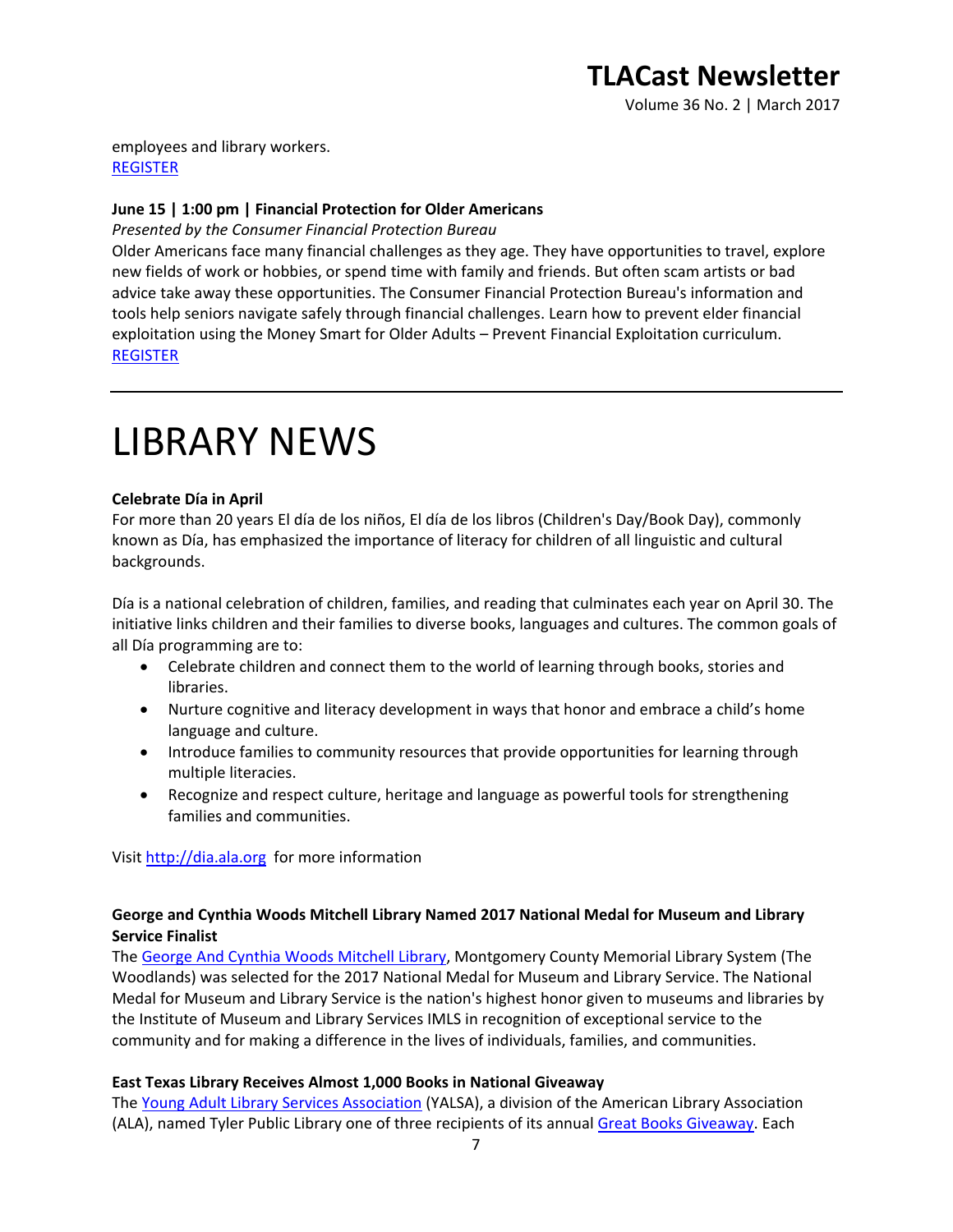Volume 36 No. 2 | March 2017

employees and library workers. [REGISTER](https://secure.txla.org/secure/forms/mtgLogin.asp)

#### **June 15 | 1:00 pm | Financial Protection for Older Americans**

*Presented by the Consumer Financial Protection Bureau*

Older Americans face many financial challenges as they age. They have opportunities to travel, explore new fields of work or hobbies, or spend time with family and friends. But often scam artists or bad advice take away these opportunities. The Consumer Financial Protection Bureau's information and tools help seniors navigate safely through financial challenges. Learn how to prevent elder financial exploitation using the Money Smart for Older Adults – Prevent Financial Exploitation curriculum. [REGISTER](https://join.onstreammedia.com/register/80146595/cfpb2)

## LIBRARY NEWS

#### **Celebrate Día in April**

For more than 20 years El día de los niños, El día de los libros (Children's Day/Book Day), commonly known as Día, has emphasized the importance of literacy for children of all linguistic and cultural backgrounds.

Día is a national celebration of children, families, and reading that culminates each year on April 30. The initiative links children and their families to diverse books, languages and cultures. The common goals of all Día programming are to:

- Celebrate children and connect them to the world of learning through books, stories and libraries.
- Nurture cognitive and literacy development in ways that honor and embrace a child's home language and culture.
- Introduce families to community resources that provide opportunities for learning through multiple literacies.
- Recognize and respect culture, heritage and language as powerful tools for strengthening families and communities.

Visit [http://dia.ala.org](http://dia.ala.org/) for more information

#### **George and Cynthia Woods Mitchell Library Named 2017 National Medal for Museum and Library Service Finalist**

The [George And Cynthia Woods Mitchell Library,](http://us6.campaign-archive1.com/?u=bdf6c9c70ce5ddc7a38261f6d&id=599e320b14&e) Montgomery County Memorial Library System (The Woodlands) was selected for the 2017 National Medal for Museum and Library Service. The National Medal for Museum and Library Service is the nation's highest honor given to museums and libraries by the Institute of Museum and Library Services IMLS in recognition of exceptional service to the community and for making a difference in the lives of individuals, families, and communities.

#### **East Texas Library Receives Almost 1,000 Books in National Giveaway**

The [Young Adult Library Services Association](http://www.ala.org/news/member-news/2017/02/yalsa-s-2017-great-books-giveaway-provides-more-40000-materials-libraries-texas) (YALSA), a division of the American Library Association (ALA), named Tyler Public Library one of three recipients of its annual [Great Books Giveaway.](http://www.ala.org/yalsa/awardsandgrants/yalsasgreatbook) Each